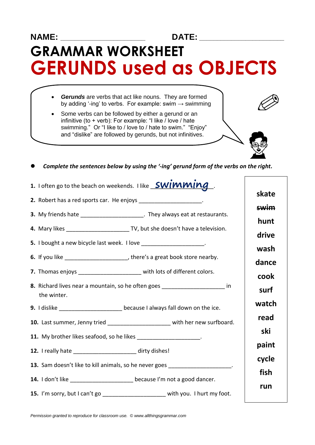## **NAME: \_\_\_\_\_\_\_\_\_\_\_\_\_\_\_\_\_\_\_\_\_\_\_\_ DATE: \_\_\_\_\_\_\_\_\_\_\_\_\_\_\_\_\_\_\_\_\_\_\_\_ GRAMMAR WORKSHEET GERUNDS used as OBJECTS**

- *Gerunds* are verbs that act like nouns. They are formed by adding '-ing' to verbs. For example: swim  $\rightarrow$  swimming
- Some verbs can be followed by either a gerund or an infinitive (to + verb): For example: "I like / love / hate swimming." Or "I like to / love to / hate to swim." "Enjoy" and "dislike" are followed by gerunds, but not infinitives.



| Complete the sentences below by using the '-ing' gerund form of the verbs on the right.      |             |
|----------------------------------------------------------------------------------------------|-------------|
| 1. I often go to the beach on weekends. I like <b>SWIMMING</b>                               | skate       |
| 2. Robert has a red sports car. He enjoys ____________________.                              |             |
| 3. My friends hate ______________________. They always eat at restaurants.                   | <b>swim</b> |
|                                                                                              | hunt        |
|                                                                                              | drive       |
| 5. I bought a new bicycle last week. I love _____________________.                           |             |
| 6. If you like ________________________, there's a great book store nearby.                  | wash        |
|                                                                                              | dance       |
| 7. Thomas enjoys ________________________ with lots of different colors.                     | cook        |
| 8. Richard lives near a mountain, so he often goes _______________________ in<br>the winter. | surf        |
| 9. I dislike _______________________ because I always fall down on the ice.                  | watch       |
| 10. Last summer, Jenny tried _______________________ with her new surfboard.                 | read        |
| 11. My brother likes seafood, so he likes ____________________.                              | ski         |
| 12. I really hate _____________________ dirty dishes!                                        | paint       |
|                                                                                              | cycle       |
| 13. Sam doesn't like to kill animals, so he never goes __________________.                   | fish        |
| 14. I don't like ______________________ because I'm not a good dancer.                       |             |
| 15. I'm sorry, but I can't go<br>with you. I hurt my foot.                                   | run         |